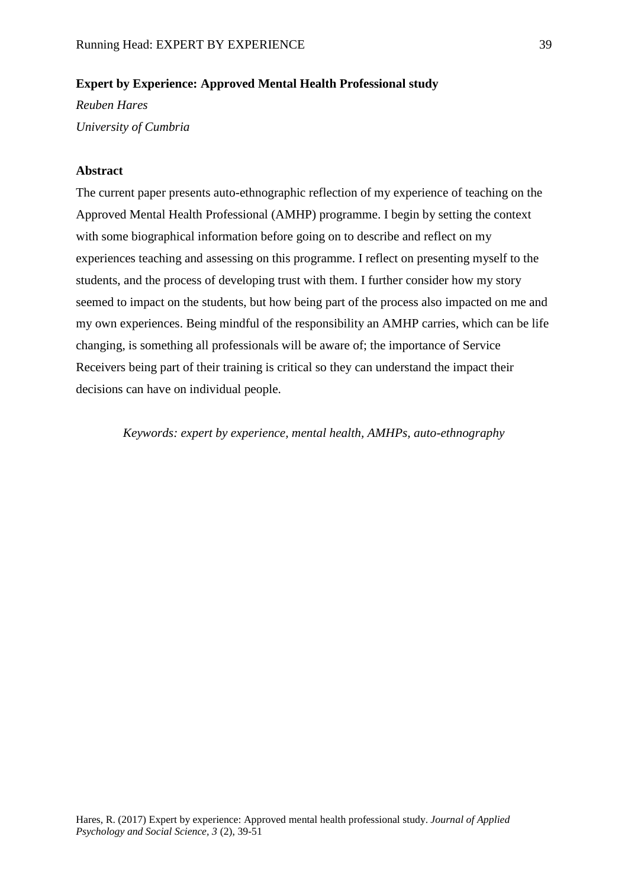# **Expert by Experience: Approved Mental Health Professional study**

*Reuben Hares University of Cumbria*

## **Abstract**

The current paper presents auto-ethnographic reflection of my experience of teaching on the Approved Mental Health Professional (AMHP) programme. I begin by setting the context with some biographical information before going on to describe and reflect on my experiences teaching and assessing on this programme. I reflect on presenting myself to the students, and the process of developing trust with them. I further consider how my story seemed to impact on the students, but how being part of the process also impacted on me and my own experiences. Being mindful of the responsibility an AMHP carries, which can be life changing, is something all professionals will be aware of; the importance of Service Receivers being part of their training is critical so they can understand the impact their decisions can have on individual people.

*Keywords: expert by experience, mental health, AMHPs, auto-ethnography*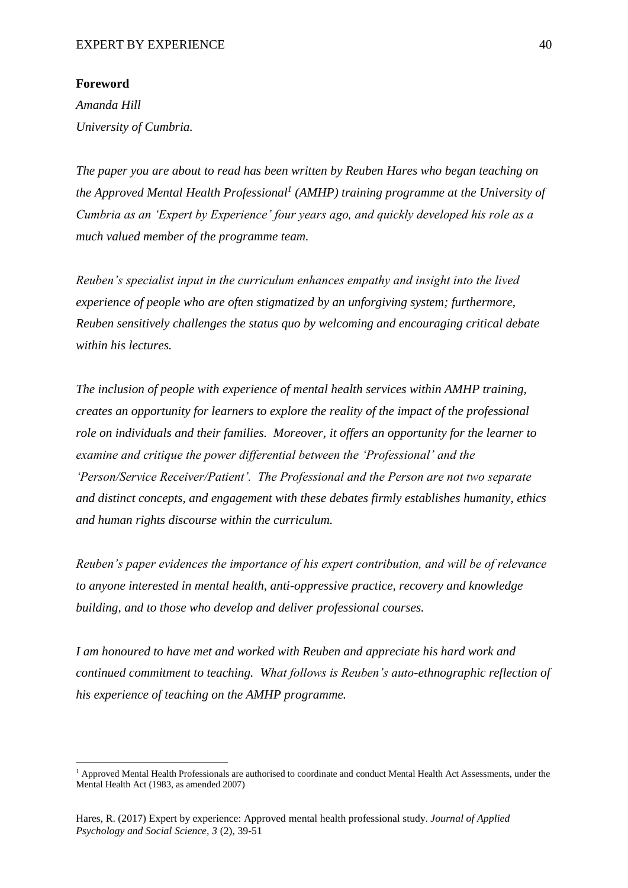### **Foreword**

**.** 

*Amanda Hill University of Cumbria.* 

*The paper you are about to read has been written by Reuben Hares who began teaching on the Approved Mental Health Professional<sup>1</sup> (AMHP) training programme at the University of Cumbria as an 'Expert by Experience' four years ago, and quickly developed his role as a much valued member of the programme team.* 

*Reuben's specialist input in the curriculum enhances empathy and insight into the lived experience of people who are often stigmatized by an unforgiving system; furthermore, Reuben sensitively challenges the status quo by welcoming and encouraging critical debate within his lectures.* 

*The inclusion of people with experience of mental health services within AMHP training, creates an opportunity for learners to explore the reality of the impact of the professional role on individuals and their families. Moreover, it offers an opportunity for the learner to examine and critique the power differential between the 'Professional' and the 'Person/Service Receiver/Patient'. The Professional and the Person are not two separate and distinct concepts, and engagement with these debates firmly establishes humanity, ethics and human rights discourse within the curriculum.* 

*Reuben's paper evidences the importance of his expert contribution, and will be of relevance to anyone interested in mental health, anti-oppressive practice, recovery and knowledge building, and to those who develop and deliver professional courses.*

*I am honoured to have met and worked with Reuben and appreciate his hard work and continued commitment to teaching. What follows is Reuben's auto-ethnographic reflection of his experience of teaching on the AMHP programme.* 

 $<sup>1</sup>$  Approved Mental Health Professionals are authorised to coordinate and conduct Mental Health Act Assessments, under the</sup> Mental Health Act (1983, as amended 2007)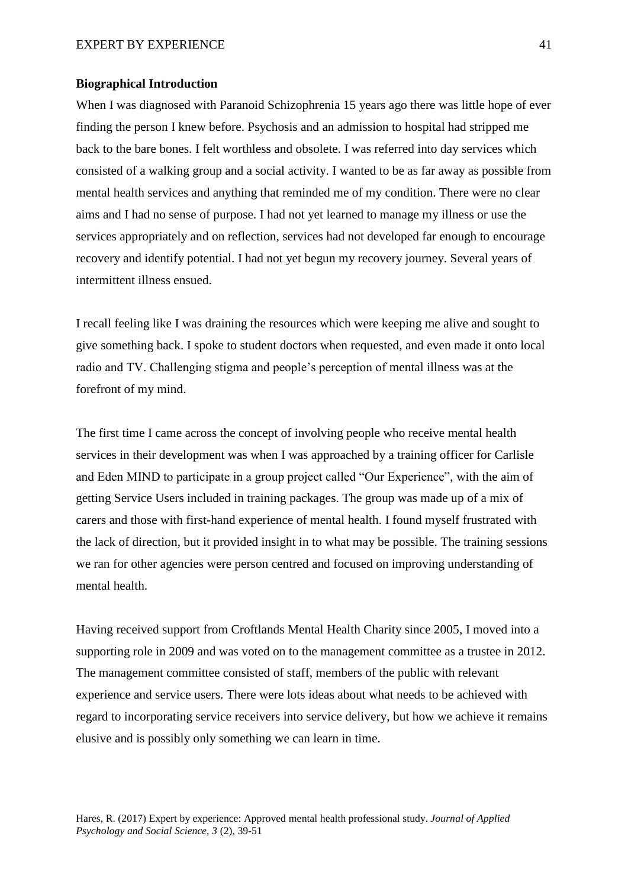### **Biographical Introduction**

When I was diagnosed with Paranoid Schizophrenia 15 years ago there was little hope of ever finding the person I knew before. Psychosis and an admission to hospital had stripped me back to the bare bones. I felt worthless and obsolete. I was referred into day services which consisted of a walking group and a social activity. I wanted to be as far away as possible from mental health services and anything that reminded me of my condition. There were no clear aims and I had no sense of purpose. I had not yet learned to manage my illness or use the services appropriately and on reflection, services had not developed far enough to encourage recovery and identify potential. I had not yet begun my recovery journey. Several years of intermittent illness ensued.

I recall feeling like I was draining the resources which were keeping me alive and sought to give something back. I spoke to student doctors when requested, and even made it onto local radio and TV. Challenging stigma and people's perception of mental illness was at the forefront of my mind.

The first time I came across the concept of involving people who receive mental health services in their development was when I was approached by a training officer for Carlisle and Eden MIND to participate in a group project called "Our Experience", with the aim of getting Service Users included in training packages. The group was made up of a mix of carers and those with first-hand experience of mental health. I found myself frustrated with the lack of direction, but it provided insight in to what may be possible. The training sessions we ran for other agencies were person centred and focused on improving understanding of mental health.

Having received support from Croftlands Mental Health Charity since 2005, I moved into a supporting role in 2009 and was voted on to the management committee as a trustee in 2012. The management committee consisted of staff, members of the public with relevant experience and service users. There were lots ideas about what needs to be achieved with regard to incorporating service receivers into service delivery, but how we achieve it remains elusive and is possibly only something we can learn in time.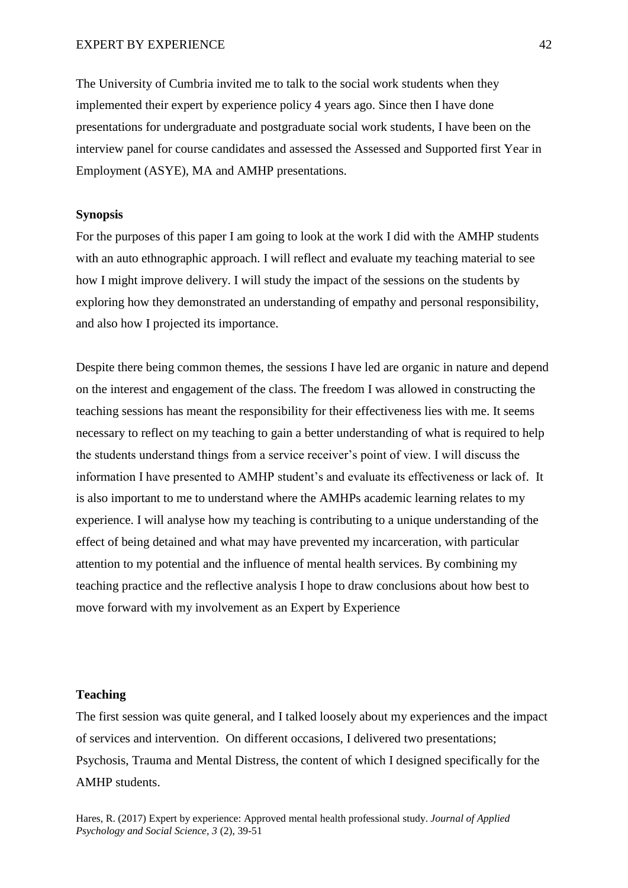The University of Cumbria invited me to talk to the social work students when they implemented their expert by experience policy 4 years ago. Since then I have done presentations for undergraduate and postgraduate social work students, I have been on the interview panel for course candidates and assessed the Assessed and Supported first Year in Employment (ASYE), MA and AMHP presentations.

## **Synopsis**

For the purposes of this paper I am going to look at the work I did with the AMHP students with an auto ethnographic approach. I will reflect and evaluate my teaching material to see how I might improve delivery. I will study the impact of the sessions on the students by exploring how they demonstrated an understanding of empathy and personal responsibility, and also how I projected its importance.

Despite there being common themes, the sessions I have led are organic in nature and depend on the interest and engagement of the class. The freedom I was allowed in constructing the teaching sessions has meant the responsibility for their effectiveness lies with me. It seems necessary to reflect on my teaching to gain a better understanding of what is required to help the students understand things from a service receiver's point of view. I will discuss the information I have presented to AMHP student's and evaluate its effectiveness or lack of. It is also important to me to understand where the AMHPs academic learning relates to my experience. I will analyse how my teaching is contributing to a unique understanding of the effect of being detained and what may have prevented my incarceration, with particular attention to my potential and the influence of mental health services. By combining my teaching practice and the reflective analysis I hope to draw conclusions about how best to move forward with my involvement as an Expert by Experience

#### **Teaching**

The first session was quite general, and I talked loosely about my experiences and the impact of services and intervention. On different occasions, I delivered two presentations; Psychosis, Trauma and Mental Distress, the content of which I designed specifically for the AMHP students.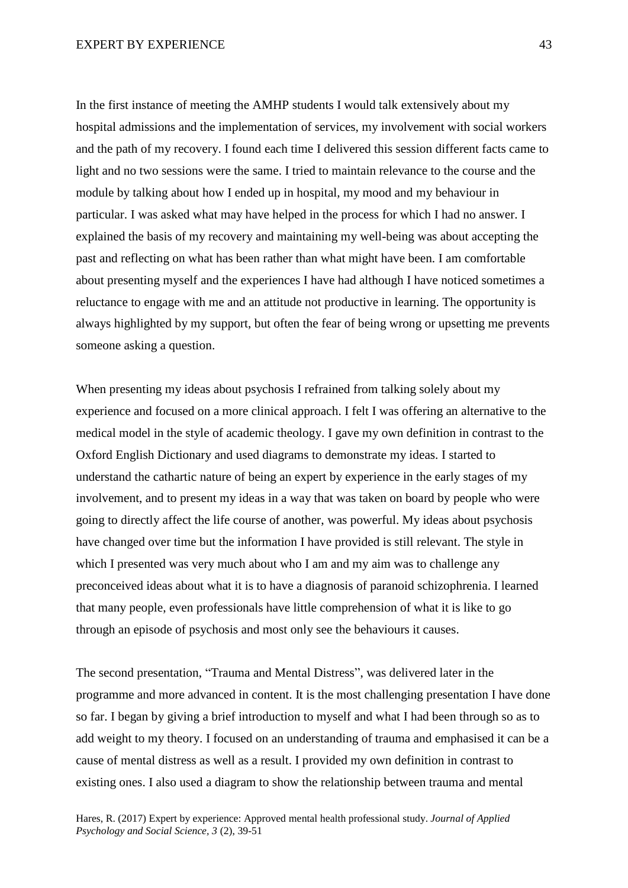In the first instance of meeting the AMHP students I would talk extensively about my hospital admissions and the implementation of services, my involvement with social workers and the path of my recovery. I found each time I delivered this session different facts came to light and no two sessions were the same. I tried to maintain relevance to the course and the module by talking about how I ended up in hospital, my mood and my behaviour in particular. I was asked what may have helped in the process for which I had no answer. I explained the basis of my recovery and maintaining my well-being was about accepting the past and reflecting on what has been rather than what might have been. I am comfortable about presenting myself and the experiences I have had although I have noticed sometimes a reluctance to engage with me and an attitude not productive in learning. The opportunity is always highlighted by my support, but often the fear of being wrong or upsetting me prevents someone asking a question.

When presenting my ideas about psychosis I refrained from talking solely about my experience and focused on a more clinical approach. I felt I was offering an alternative to the medical model in the style of academic theology. I gave my own definition in contrast to the Oxford English Dictionary and used diagrams to demonstrate my ideas. I started to understand the cathartic nature of being an expert by experience in the early stages of my involvement, and to present my ideas in a way that was taken on board by people who were going to directly affect the life course of another, was powerful. My ideas about psychosis have changed over time but the information I have provided is still relevant. The style in which I presented was very much about who I am and my aim was to challenge any preconceived ideas about what it is to have a diagnosis of paranoid schizophrenia. I learned that many people, even professionals have little comprehension of what it is like to go through an episode of psychosis and most only see the behaviours it causes.

The second presentation, "Trauma and Mental Distress", was delivered later in the programme and more advanced in content. It is the most challenging presentation I have done so far. I began by giving a brief introduction to myself and what I had been through so as to add weight to my theory. I focused on an understanding of trauma and emphasised it can be a cause of mental distress as well as a result. I provided my own definition in contrast to existing ones. I also used a diagram to show the relationship between trauma and mental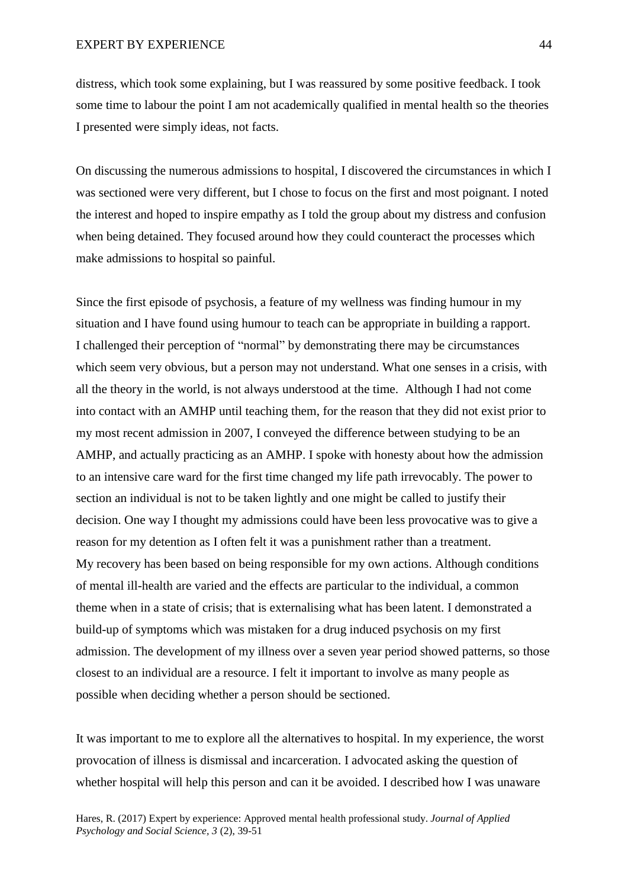distress, which took some explaining, but I was reassured by some positive feedback. I took some time to labour the point I am not academically qualified in mental health so the theories I presented were simply ideas, not facts.

On discussing the numerous admissions to hospital, I discovered the circumstances in which I was sectioned were very different, but I chose to focus on the first and most poignant. I noted the interest and hoped to inspire empathy as I told the group about my distress and confusion when being detained. They focused around how they could counteract the processes which make admissions to hospital so painful.

Since the first episode of psychosis, a feature of my wellness was finding humour in my situation and I have found using humour to teach can be appropriate in building a rapport. I challenged their perception of "normal" by demonstrating there may be circumstances which seem very obvious, but a person may not understand. What one senses in a crisis, with all the theory in the world, is not always understood at the time. Although I had not come into contact with an AMHP until teaching them, for the reason that they did not exist prior to my most recent admission in 2007, I conveyed the difference between studying to be an AMHP, and actually practicing as an AMHP. I spoke with honesty about how the admission to an intensive care ward for the first time changed my life path irrevocably. The power to section an individual is not to be taken lightly and one might be called to justify their decision. One way I thought my admissions could have been less provocative was to give a reason for my detention as I often felt it was a punishment rather than a treatment. My recovery has been based on being responsible for my own actions. Although conditions of mental ill-health are varied and the effects are particular to the individual, a common theme when in a state of crisis; that is externalising what has been latent. I demonstrated a build-up of symptoms which was mistaken for a drug induced psychosis on my first admission. The development of my illness over a seven year period showed patterns, so those closest to an individual are a resource. I felt it important to involve as many people as possible when deciding whether a person should be sectioned.

It was important to me to explore all the alternatives to hospital. In my experience, the worst provocation of illness is dismissal and incarceration. I advocated asking the question of whether hospital will help this person and can it be avoided. I described how I was unaware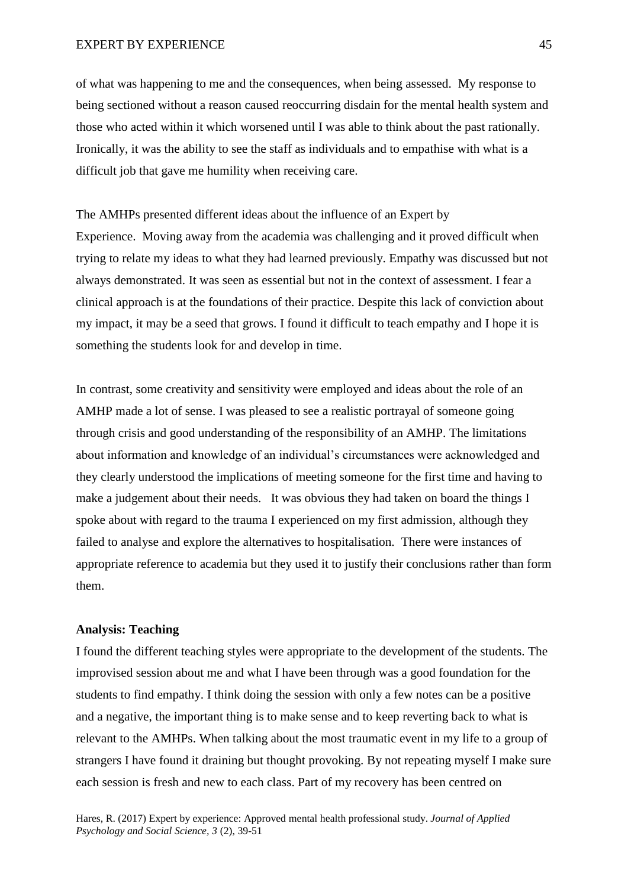of what was happening to me and the consequences, when being assessed. My response to being sectioned without a reason caused reoccurring disdain for the mental health system and those who acted within it which worsened until I was able to think about the past rationally. Ironically, it was the ability to see the staff as individuals and to empathise with what is a difficult job that gave me humility when receiving care.

The AMHPs presented different ideas about the influence of an Expert by Experience. Moving away from the academia was challenging and it proved difficult when trying to relate my ideas to what they had learned previously. Empathy was discussed but not always demonstrated. It was seen as essential but not in the context of assessment. I fear a clinical approach is at the foundations of their practice. Despite this lack of conviction about my impact, it may be a seed that grows. I found it difficult to teach empathy and I hope it is something the students look for and develop in time.

In contrast, some creativity and sensitivity were employed and ideas about the role of an AMHP made a lot of sense. I was pleased to see a realistic portrayal of someone going through crisis and good understanding of the responsibility of an AMHP. The limitations about information and knowledge of an individual's circumstances were acknowledged and they clearly understood the implications of meeting someone for the first time and having to make a judgement about their needs. It was obvious they had taken on board the things I spoke about with regard to the trauma I experienced on my first admission, although they failed to analyse and explore the alternatives to hospitalisation. There were instances of appropriate reference to academia but they used it to justify their conclusions rather than form them.

# **Analysis: Teaching**

I found the different teaching styles were appropriate to the development of the students. The improvised session about me and what I have been through was a good foundation for the students to find empathy. I think doing the session with only a few notes can be a positive and a negative, the important thing is to make sense and to keep reverting back to what is relevant to the AMHPs. When talking about the most traumatic event in my life to a group of strangers I have found it draining but thought provoking. By not repeating myself I make sure each session is fresh and new to each class. Part of my recovery has been centred on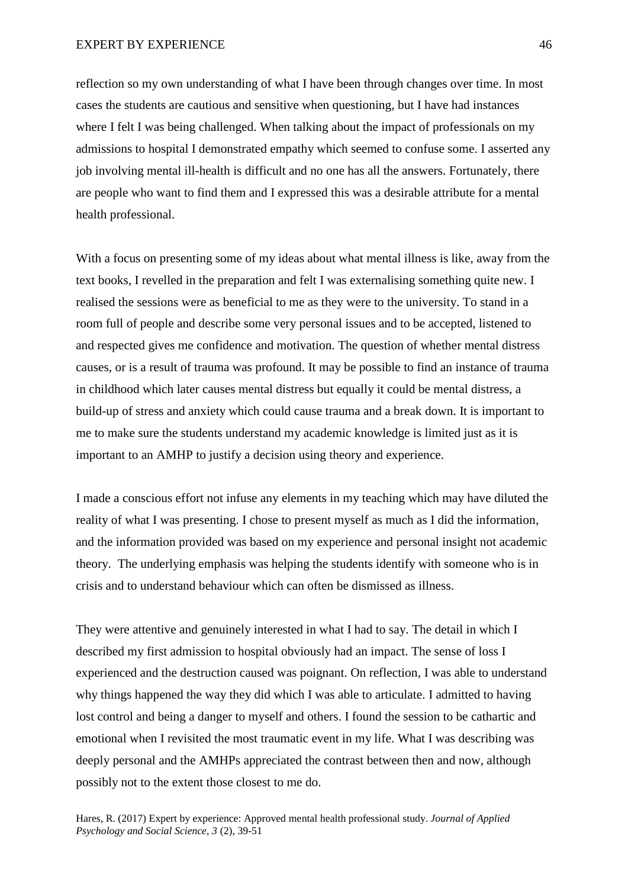reflection so my own understanding of what I have been through changes over time. In most cases the students are cautious and sensitive when questioning, but I have had instances where I felt I was being challenged. When talking about the impact of professionals on my admissions to hospital I demonstrated empathy which seemed to confuse some. I asserted any job involving mental ill-health is difficult and no one has all the answers. Fortunately, there are people who want to find them and I expressed this was a desirable attribute for a mental health professional.

With a focus on presenting some of my ideas about what mental illness is like, away from the text books, I revelled in the preparation and felt I was externalising something quite new. I realised the sessions were as beneficial to me as they were to the university. To stand in a room full of people and describe some very personal issues and to be accepted, listened to and respected gives me confidence and motivation. The question of whether mental distress causes, or is a result of trauma was profound. It may be possible to find an instance of trauma in childhood which later causes mental distress but equally it could be mental distress, a build-up of stress and anxiety which could cause trauma and a break down. It is important to me to make sure the students understand my academic knowledge is limited just as it is important to an AMHP to justify a decision using theory and experience.

I made a conscious effort not infuse any elements in my teaching which may have diluted the reality of what I was presenting. I chose to present myself as much as I did the information, and the information provided was based on my experience and personal insight not academic theory. The underlying emphasis was helping the students identify with someone who is in crisis and to understand behaviour which can often be dismissed as illness.

They were attentive and genuinely interested in what I had to say. The detail in which I described my first admission to hospital obviously had an impact. The sense of loss I experienced and the destruction caused was poignant. On reflection, I was able to understand why things happened the way they did which I was able to articulate. I admitted to having lost control and being a danger to myself and others. I found the session to be cathartic and emotional when I revisited the most traumatic event in my life. What I was describing was deeply personal and the AMHPs appreciated the contrast between then and now, although possibly not to the extent those closest to me do.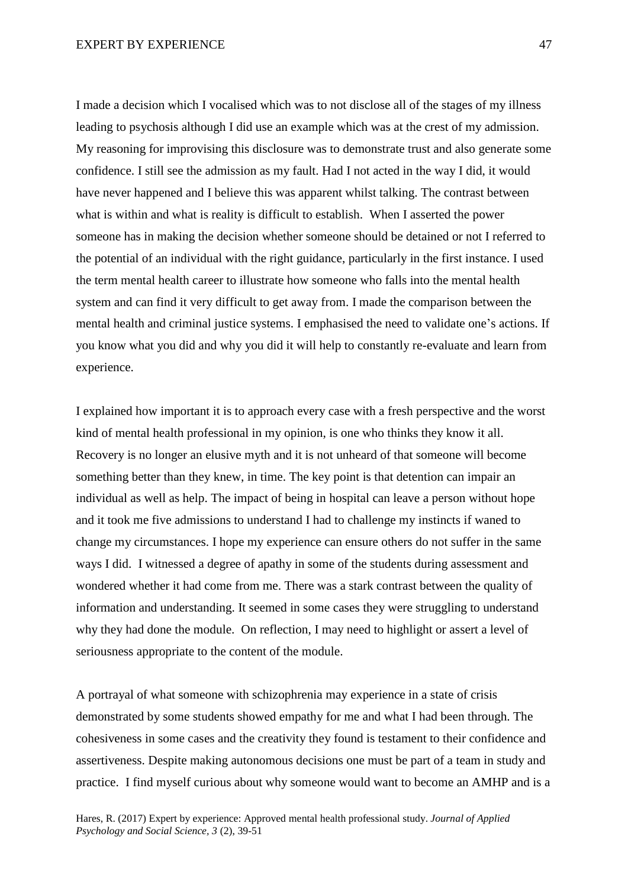I made a decision which I vocalised which was to not disclose all of the stages of my illness leading to psychosis although I did use an example which was at the crest of my admission. My reasoning for improvising this disclosure was to demonstrate trust and also generate some confidence. I still see the admission as my fault. Had I not acted in the way I did, it would have never happened and I believe this was apparent whilst talking. The contrast between what is within and what is reality is difficult to establish. When I asserted the power someone has in making the decision whether someone should be detained or not I referred to the potential of an individual with the right guidance, particularly in the first instance. I used the term mental health career to illustrate how someone who falls into the mental health system and can find it very difficult to get away from. I made the comparison between the mental health and criminal justice systems. I emphasised the need to validate one's actions. If you know what you did and why you did it will help to constantly re-evaluate and learn from experience.

I explained how important it is to approach every case with a fresh perspective and the worst kind of mental health professional in my opinion, is one who thinks they know it all. Recovery is no longer an elusive myth and it is not unheard of that someone will become something better than they knew, in time. The key point is that detention can impair an individual as well as help. The impact of being in hospital can leave a person without hope and it took me five admissions to understand I had to challenge my instincts if waned to change my circumstances. I hope my experience can ensure others do not suffer in the same ways I did. I witnessed a degree of apathy in some of the students during assessment and wondered whether it had come from me. There was a stark contrast between the quality of information and understanding. It seemed in some cases they were struggling to understand why they had done the module. On reflection, I may need to highlight or assert a level of seriousness appropriate to the content of the module.

A portrayal of what someone with schizophrenia may experience in a state of crisis demonstrated by some students showed empathy for me and what I had been through. The cohesiveness in some cases and the creativity they found is testament to their confidence and assertiveness. Despite making autonomous decisions one must be part of a team in study and practice. I find myself curious about why someone would want to become an AMHP and is a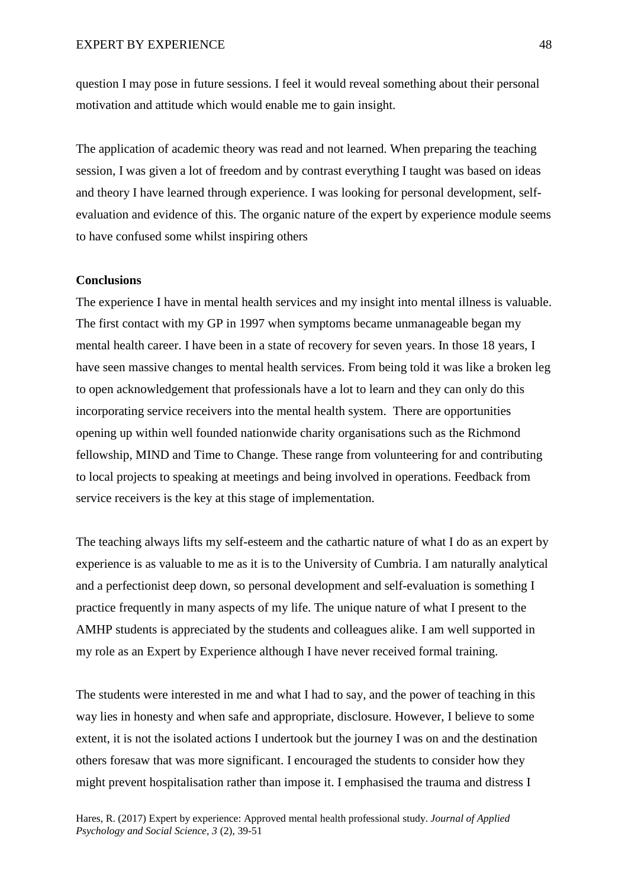question I may pose in future sessions. I feel it would reveal something about their personal motivation and attitude which would enable me to gain insight.

The application of academic theory was read and not learned. When preparing the teaching session, I was given a lot of freedom and by contrast everything I taught was based on ideas and theory I have learned through experience. I was looking for personal development, selfevaluation and evidence of this. The organic nature of the expert by experience module seems to have confused some whilst inspiring others

# **Conclusions**

The experience I have in mental health services and my insight into mental illness is valuable. The first contact with my GP in 1997 when symptoms became unmanageable began my mental health career. I have been in a state of recovery for seven years. In those 18 years, I have seen massive changes to mental health services. From being told it was like a broken leg to open acknowledgement that professionals have a lot to learn and they can only do this incorporating service receivers into the mental health system. There are opportunities opening up within well founded nationwide charity organisations such as the Richmond fellowship, MIND and Time to Change. These range from volunteering for and contributing to local projects to speaking at meetings and being involved in operations. Feedback from service receivers is the key at this stage of implementation.

The teaching always lifts my self-esteem and the cathartic nature of what I do as an expert by experience is as valuable to me as it is to the University of Cumbria. I am naturally analytical and a perfectionist deep down, so personal development and self-evaluation is something I practice frequently in many aspects of my life. The unique nature of what I present to the AMHP students is appreciated by the students and colleagues alike. I am well supported in my role as an Expert by Experience although I have never received formal training.

The students were interested in me and what I had to say, and the power of teaching in this way lies in honesty and when safe and appropriate, disclosure. However, I believe to some extent, it is not the isolated actions I undertook but the journey I was on and the destination others foresaw that was more significant. I encouraged the students to consider how they might prevent hospitalisation rather than impose it. I emphasised the trauma and distress I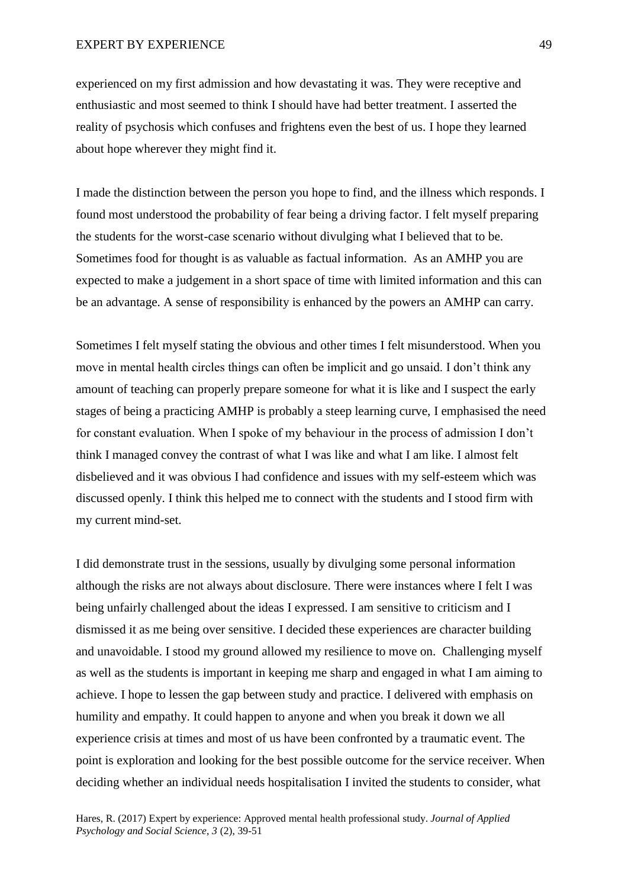### EXPERT BY EXPERIENCE 49

experienced on my first admission and how devastating it was. They were receptive and enthusiastic and most seemed to think I should have had better treatment. I asserted the reality of psychosis which confuses and frightens even the best of us. I hope they learned about hope wherever they might find it.

I made the distinction between the person you hope to find, and the illness which responds. I found most understood the probability of fear being a driving factor. I felt myself preparing the students for the worst-case scenario without divulging what I believed that to be. Sometimes food for thought is as valuable as factual information. As an AMHP you are expected to make a judgement in a short space of time with limited information and this can be an advantage. A sense of responsibility is enhanced by the powers an AMHP can carry.

Sometimes I felt myself stating the obvious and other times I felt misunderstood. When you move in mental health circles things can often be implicit and go unsaid. I don't think any amount of teaching can properly prepare someone for what it is like and I suspect the early stages of being a practicing AMHP is probably a steep learning curve, I emphasised the need for constant evaluation. When I spoke of my behaviour in the process of admission I don't think I managed convey the contrast of what I was like and what I am like. I almost felt disbelieved and it was obvious I had confidence and issues with my self-esteem which was discussed openly. I think this helped me to connect with the students and I stood firm with my current mind-set.

I did demonstrate trust in the sessions, usually by divulging some personal information although the risks are not always about disclosure. There were instances where I felt I was being unfairly challenged about the ideas I expressed. I am sensitive to criticism and I dismissed it as me being over sensitive. I decided these experiences are character building and unavoidable. I stood my ground allowed my resilience to move on. Challenging myself as well as the students is important in keeping me sharp and engaged in what I am aiming to achieve. I hope to lessen the gap between study and practice. I delivered with emphasis on humility and empathy. It could happen to anyone and when you break it down we all experience crisis at times and most of us have been confronted by a traumatic event. The point is exploration and looking for the best possible outcome for the service receiver. When deciding whether an individual needs hospitalisation I invited the students to consider, what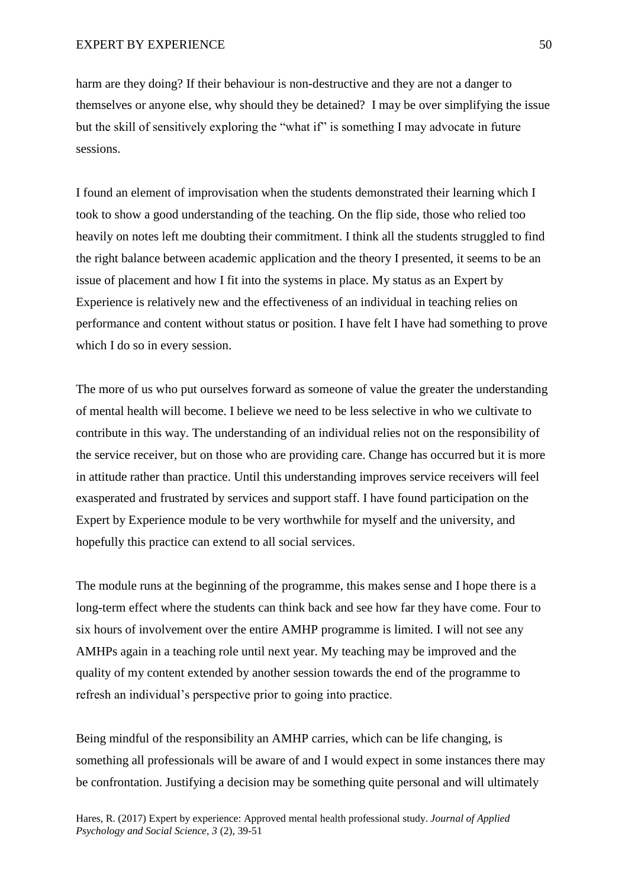harm are they doing? If their behaviour is non-destructive and they are not a danger to themselves or anyone else, why should they be detained? I may be over simplifying the issue but the skill of sensitively exploring the "what if" is something I may advocate in future sessions.

I found an element of improvisation when the students demonstrated their learning which I took to show a good understanding of the teaching. On the flip side, those who relied too heavily on notes left me doubting their commitment. I think all the students struggled to find the right balance between academic application and the theory I presented, it seems to be an issue of placement and how I fit into the systems in place. My status as an Expert by Experience is relatively new and the effectiveness of an individual in teaching relies on performance and content without status or position. I have felt I have had something to prove which I do so in every session.

The more of us who put ourselves forward as someone of value the greater the understanding of mental health will become. I believe we need to be less selective in who we cultivate to contribute in this way. The understanding of an individual relies not on the responsibility of the service receiver, but on those who are providing care. Change has occurred but it is more in attitude rather than practice. Until this understanding improves service receivers will feel exasperated and frustrated by services and support staff. I have found participation on the Expert by Experience module to be very worthwhile for myself and the university, and hopefully this practice can extend to all social services.

The module runs at the beginning of the programme, this makes sense and I hope there is a long-term effect where the students can think back and see how far they have come. Four to six hours of involvement over the entire AMHP programme is limited. I will not see any AMHPs again in a teaching role until next year. My teaching may be improved and the quality of my content extended by another session towards the end of the programme to refresh an individual's perspective prior to going into practice.

Being mindful of the responsibility an AMHP carries, which can be life changing, is something all professionals will be aware of and I would expect in some instances there may be confrontation. Justifying a decision may be something quite personal and will ultimately